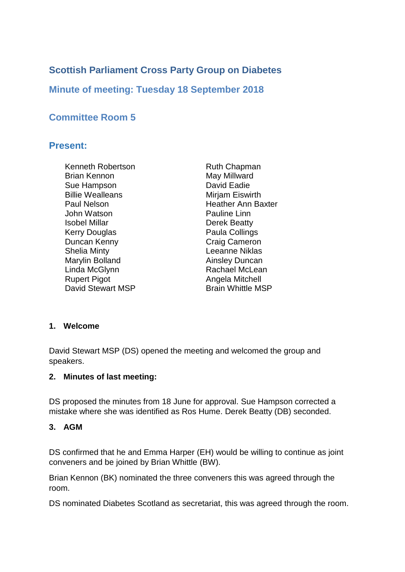# **Scottish Parliament Cross Party Group on Diabetes**

**Minute of meeting: Tuesday 18 September 2018**

# **Committee Room 5**

### **Present:**

Kenneth Robertson Brian Kennon Sue Hampson Billie Wealleans Paul Nelson John Watson Isobel Millar Kerry Douglas Duncan Kenny Shelia Minty Marylin Bolland Linda McGlynn Rupert Pigot David Stewart MSP

Ruth Chapman May Millward David Eadie Mirjam Eiswirth Heather Ann Baxter Pauline Linn Derek Beatty Paula Collings Craig Cameron Leeanne Niklas Ainsley Duncan Rachael McLean Angela Mitchell Brain Whittle MSP

#### **1. Welcome**

David Stewart MSP (DS) opened the meeting and welcomed the group and speakers.

#### **2. Minutes of last meeting:**

DS proposed the minutes from 18 June for approval. Sue Hampson corrected a mistake where she was identified as Ros Hume. Derek Beatty (DB) seconded.

#### **3. AGM**

DS confirmed that he and Emma Harper (EH) would be willing to continue as joint conveners and be joined by Brian Whittle (BW).

Brian Kennon (BK) nominated the three conveners this was agreed through the room.

DS nominated Diabetes Scotland as secretariat, this was agreed through the room.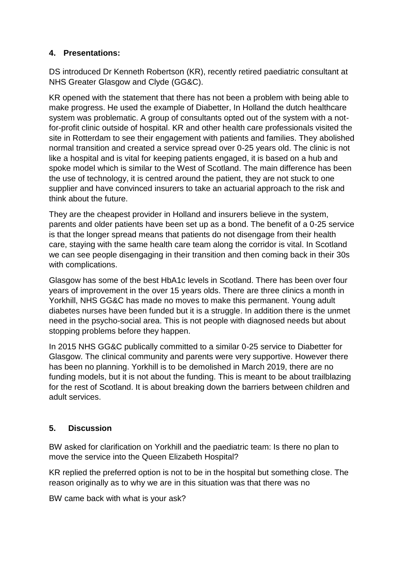### **4. Presentations:**

DS introduced Dr Kenneth Robertson (KR), recently retired paediatric consultant at NHS Greater Glasgow and Clyde (GG&C).

KR opened with the statement that there has not been a problem with being able to make progress. He used the example of Diabetter, In Holland the dutch healthcare system was problematic. A group of consultants opted out of the system with a notfor-profit clinic outside of hospital. KR and other health care professionals visited the site in Rotterdam to see their engagement with patients and families. They abolished normal transition and created a service spread over 0-25 years old. The clinic is not like a hospital and is vital for keeping patients engaged, it is based on a hub and spoke model which is similar to the West of Scotland. The main difference has been the use of technology, it is centred around the patient, they are not stuck to one supplier and have convinced insurers to take an actuarial approach to the risk and think about the future.

They are the cheapest provider in Holland and insurers believe in the system, parents and older patients have been set up as a bond. The benefit of a 0-25 service is that the longer spread means that patients do not disengage from their health care, staying with the same health care team along the corridor is vital. In Scotland we can see people disengaging in their transition and then coming back in their 30s with complications.

Glasgow has some of the best HbA1c levels in Scotland. There has been over four years of improvement in the over 15 years olds. There are three clinics a month in Yorkhill, NHS GG&C has made no moves to make this permanent. Young adult diabetes nurses have been funded but it is a struggle. In addition there is the unmet need in the psycho-social area. This is not people with diagnosed needs but about stopping problems before they happen.

In 2015 NHS GG&C publically committed to a similar 0-25 service to Diabetter for Glasgow. The clinical community and parents were very supportive. However there has been no planning. Yorkhill is to be demolished in March 2019, there are no funding models, but it is not about the funding. This is meant to be about trailblazing for the rest of Scotland. It is about breaking down the barriers between children and adult services.

### **5. Discussion**

BW asked for clarification on Yorkhill and the paediatric team: Is there no plan to move the service into the Queen Elizabeth Hospital?

KR replied the preferred option is not to be in the hospital but something close. The reason originally as to why we are in this situation was that there was no

BW came back with what is your ask?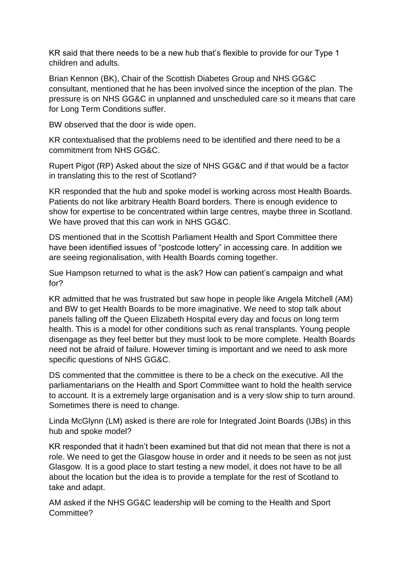KR said that there needs to be a new hub that's flexible to provide for our Type 1 children and adults.

Brian Kennon (BK), Chair of the Scottish Diabetes Group and NHS GG&C consultant, mentioned that he has been involved since the inception of the plan. The pressure is on NHS GG&C in unplanned and unscheduled care so it means that care for Long Term Conditions suffer.

BW observed that the door is wide open.

KR contextualised that the problems need to be identified and there need to be a commitment from NHS GG&C.

Rupert Pigot (RP) Asked about the size of NHS GG&C and if that would be a factor in translating this to the rest of Scotland?

KR responded that the hub and spoke model is working across most Health Boards. Patients do not like arbitrary Health Board borders. There is enough evidence to show for expertise to be concentrated within large centres, maybe three in Scotland. We have proved that this can work in NHS GG&C.

DS mentioned that in the Scottish Parliament Health and Sport Committee there have been identified issues of "postcode lottery" in accessing care. In addition we are seeing regionalisation, with Health Boards coming together.

Sue Hampson returned to what is the ask? How can patient's campaign and what for?

KR admitted that he was frustrated but saw hope in people like Angela Mitchell (AM) and BW to get Health Boards to be more imaginative. We need to stop talk about panels falling off the Queen Elizabeth Hospital every day and focus on long term health. This is a model for other conditions such as renal transplants. Young people disengage as they feel better but they must look to be more complete. Health Boards need not be afraid of failure. However timing is important and we need to ask more specific questions of NHS GG&C.

DS commented that the committee is there to be a check on the executive. All the parliamentarians on the Health and Sport Committee want to hold the health service to account. It is a extremely large organisation and is a very slow ship to turn around. Sometimes there is need to change.

Linda McGlynn (LM) asked is there are role for Integrated Joint Boards (IJBs) in this hub and spoke model?

KR responded that it hadn't been examined but that did not mean that there is not a role. We need to get the Glasgow house in order and it needs to be seen as not just Glasgow. It is a good place to start testing a new model, it does not have to be all about the location but the idea is to provide a template for the rest of Scotland to take and adapt.

AM asked if the NHS GG&C leadership will be coming to the Health and Sport Committee?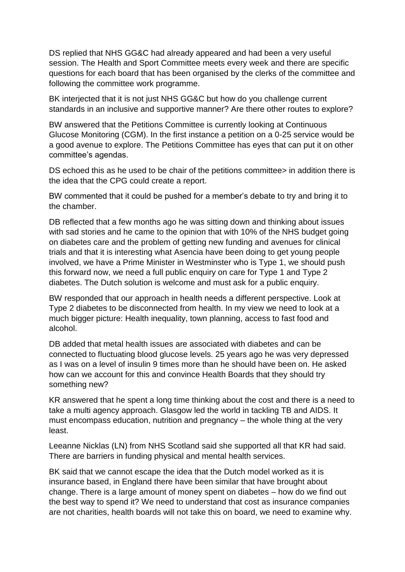DS replied that NHS GG&C had already appeared and had been a very useful session. The Health and Sport Committee meets every week and there are specific questions for each board that has been organised by the clerks of the committee and following the committee work programme.

BK interjected that it is not just NHS GG&C but how do you challenge current standards in an inclusive and supportive manner? Are there other routes to explore?

BW answered that the Petitions Committee is currently looking at Continuous Glucose Monitoring (CGM). In the first instance a petition on a 0-25 service would be a good avenue to explore. The Petitions Committee has eyes that can put it on other committee's agendas.

DS echoed this as he used to be chair of the petitions committee> in addition there is the idea that the CPG could create a report.

BW commented that it could be pushed for a member's debate to try and bring it to the chamber.

DB reflected that a few months ago he was sitting down and thinking about issues with sad stories and he came to the opinion that with 10% of the NHS budget going on diabetes care and the problem of getting new funding and avenues for clinical trials and that it is interesting what Asencia have been doing to get young people involved, we have a Prime Minister in Westminster who is Type 1, we should push this forward now, we need a full public enquiry on care for Type 1 and Type 2 diabetes. The Dutch solution is welcome and must ask for a public enquiry.

BW responded that our approach in health needs a different perspective. Look at Type 2 diabetes to be disconnected from health. In my view we need to look at a much bigger picture: Health inequality, town planning, access to fast food and alcohol.

DB added that metal health issues are associated with diabetes and can be connected to fluctuating blood glucose levels. 25 years ago he was very depressed as I was on a level of insulin 9 times more than he should have been on. He asked how can we account for this and convince Health Boards that they should try something new?

KR answered that he spent a long time thinking about the cost and there is a need to take a multi agency approach. Glasgow led the world in tackling TB and AIDS. It must encompass education, nutrition and pregnancy – the whole thing at the very least.

Leeanne Nicklas (LN) from NHS Scotland said she supported all that KR had said. There are barriers in funding physical and mental health services.

BK said that we cannot escape the idea that the Dutch model worked as it is insurance based, in England there have been similar that have brought about change. There is a large amount of money spent on diabetes – how do we find out the best way to spend it? We need to understand that cost as insurance companies are not charities, health boards will not take this on board, we need to examine why.